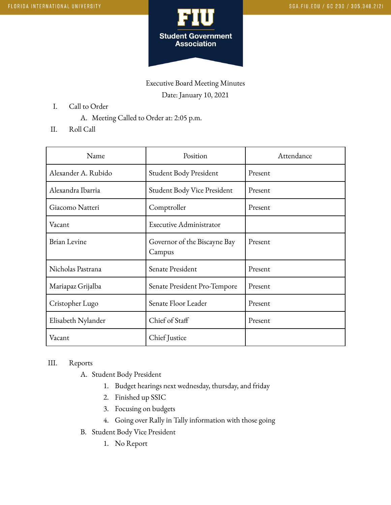

Executive Board Meeting Minutes Date: January 10, 2021

- I. Call to Order
	- A. Meeting Called to Order at: 2:05 p.m.
- II. Roll Call

| Name                | Position                               | Attendance |
|---------------------|----------------------------------------|------------|
| Alexander A. Rubido | Student Body President                 | Present    |
| Alexandra Ibarria   | Student Body Vice President            | Present    |
| Giacomo Natteri     | Comptroller                            | Present    |
| Vacant              | <b>Executive Administrator</b>         |            |
| <b>Brian Levine</b> | Governor of the Biscayne Bay<br>Campus | Present    |
| Nicholas Pastrana   | Senate President                       | Present    |
| Mariapaz Grijalba   | Senate President Pro-Tempore           | Present    |
| Cristopher Lugo     | Senate Floor Leader                    | Present    |
| Elisabeth Nylander  | Chief of Staff                         | Present    |
| Vacant              | Chief Justice                          |            |

## III. Reports

- A. Student Body President
	- 1. Budget hearings next wednesday, thursday, and friday
	- 2. Finished up SSIC
	- 3. Focusing on budgets
	- 4. Going over Rally in Tally information with those going
- B. Student Body Vice President
	- 1. No Report